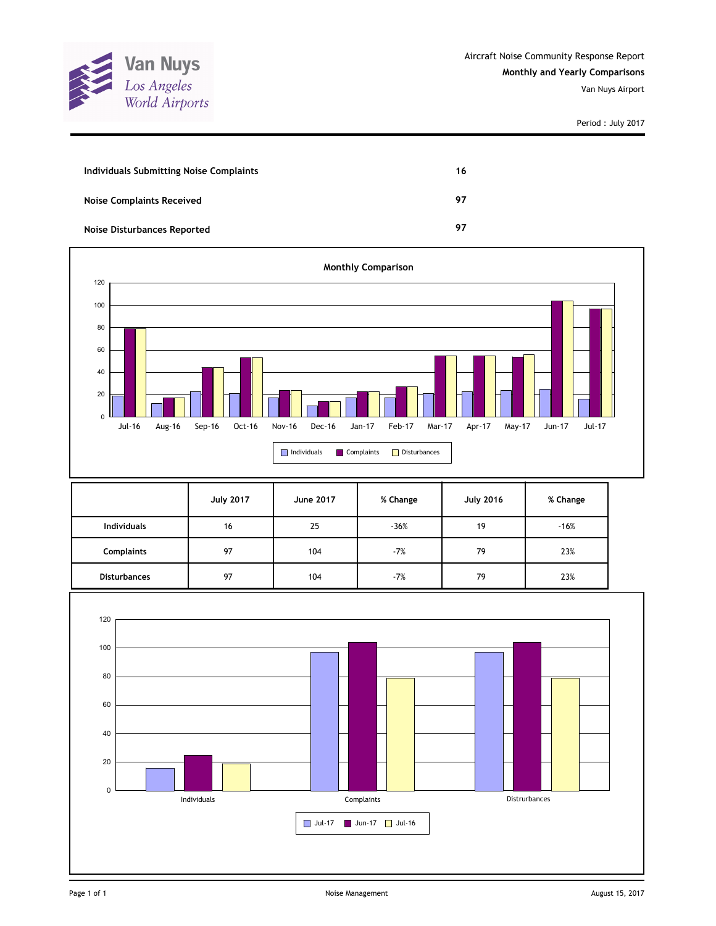

| Individuals Submitting Noise Complaints | 16 |
|-----------------------------------------|----|
| <b>Noise Complaints Received</b>        | 97 |
| Noise Disturbances Reported             | 97 |



|                     | <b>July 2017</b> | June 2017 | % Change | <b>July 2016</b> | % Change |
|---------------------|------------------|-----------|----------|------------------|----------|
| <b>Individuals</b>  | 16               | 25        | $-36%$   | 19               | $-16%$   |
| <b>Complaints</b>   | 97               | 104       | $-7%$    | 79               | 23%      |
| <b>Disturbances</b> | 97               | 104       | $-7%$    | 79               | 23%      |

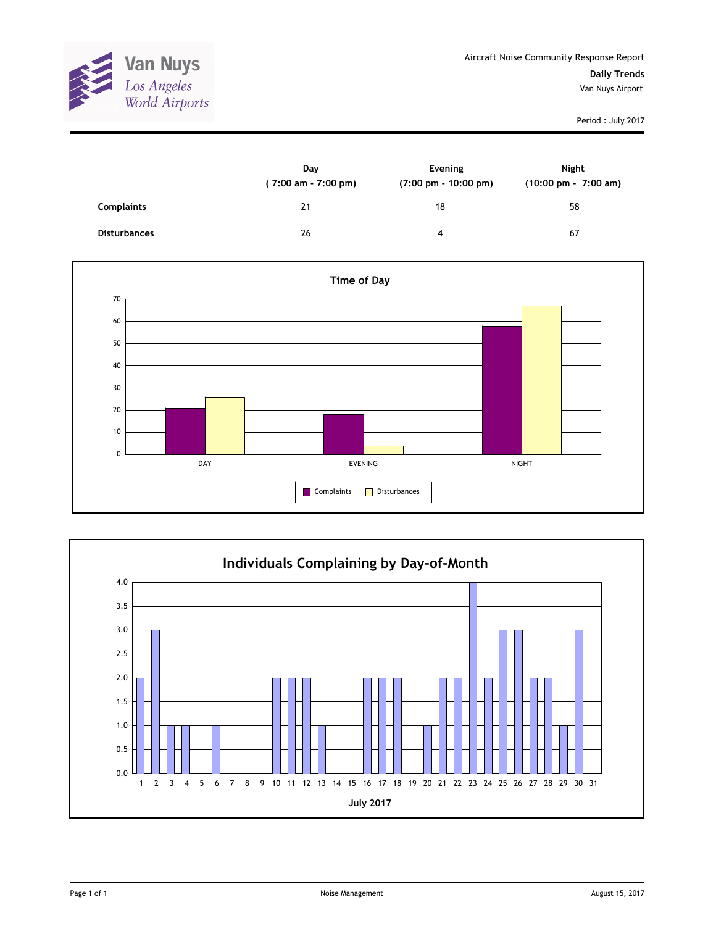

|                     | Day<br>(7:00 am - 7:00 pm) | Evening<br>$(7:00 \text{ pm} - 10:00 \text{ pm})$ | Night<br>$(10:00 \text{ pm} - 7:00 \text{ am})$ |
|---------------------|----------------------------|---------------------------------------------------|-------------------------------------------------|
| <b>Complaints</b>   | 21                         | 18                                                | 58                                              |
| <b>Disturbances</b> | 26                         | 4                                                 | 67                                              |



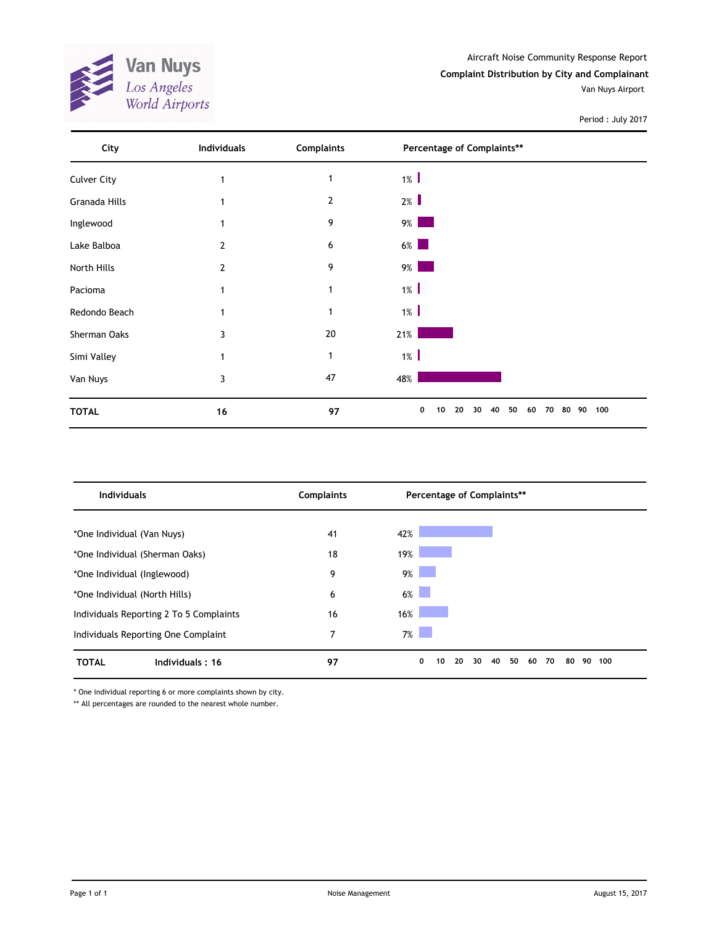**Van Nuys**<br>*Los Angeles*<br>*World Airports* AND A

Aircraft Noise Community Response Report **Complaint Distribution by City and Complainant**

Van Nuys Airport

Period : July 2017

| City               | Individuals    | <b>Complaints</b> | Percentage of Complaints**                                                                                              |           |
|--------------------|----------------|-------------------|-------------------------------------------------------------------------------------------------------------------------|-----------|
| <b>Culver City</b> |                | 1                 | $1\%$                                                                                                                   |           |
| Granada Hills      |                | $\overline{2}$    | 2%                                                                                                                      |           |
| Inglewood          |                | 9                 | $9\%$                                                                                                                   |           |
| Lake Balboa        | $\overline{2}$ | 6                 | $6\%$<br><b>Service Service</b>                                                                                         |           |
| North Hills        | $\overline{2}$ | 9                 | $9\%$<br>and the state of the state of the state of the state of the state of the state of the state of the state of th |           |
| Pacioma            | 1              | 1                 | $1\%$                                                                                                                   |           |
| Redondo Beach      | 1              | 1                 | $1\%$                                                                                                                   |           |
| Sherman Oaks       | 3              | 20                | 21%                                                                                                                     |           |
| Simi Valley        |                | 1                 | $1\%$                                                                                                                   |           |
| Van Nuys           | 3              | 47                | 48%                                                                                                                     |           |
| <b>TOTAL</b>       | 16             | 97                | 0<br>20<br>40<br>50<br>10<br>30<br>60<br>70<br>80                                                                       | 100<br>90 |

| <b>Individuals</b>                      | <b>Complaints</b> | Percentage of Complaints**                        |           |
|-----------------------------------------|-------------------|---------------------------------------------------|-----------|
|                                         |                   |                                                   |           |
| *One Individual (Van Nuys)              | 41                | 42%                                               |           |
| *One Individual (Sherman Oaks)          | 18                | 19%                                               |           |
| *One Individual (Inglewood)             | 9                 | $9\%$                                             |           |
| *One Individual (North Hills)           | 6                 | $6\%$                                             |           |
| Individuals Reporting 2 To 5 Complaints | 16                | 16%                                               |           |
| Individuals Reporting One Complaint     | 7                 | 7%                                                |           |
| <b>TOTAL</b><br>Individuals: 16         | 97                | 0<br>80<br>20<br>30<br>40<br>50<br>70<br>10<br>60 | 90<br>100 |

\* One individual reporting 6 or more complaints shown by city.

\*\* All percentages are rounded to the nearest whole number.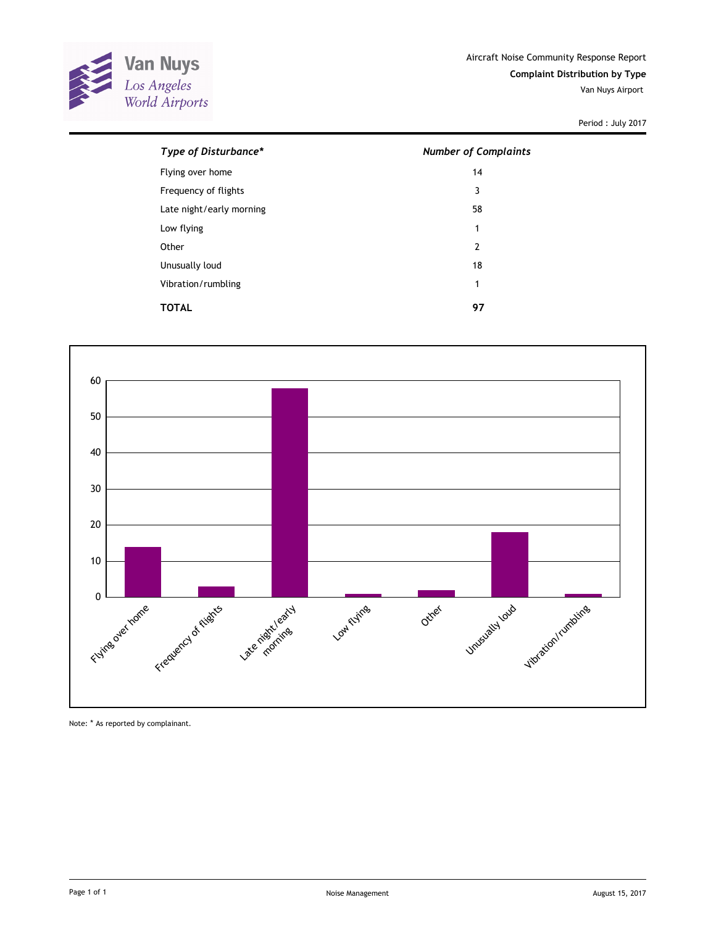

| Type of Disturbance*     | <b>Number of Complaints</b> |
|--------------------------|-----------------------------|
| Flying over home         | 14                          |
| Frequency of flights     | 3                           |
| Late night/early morning | 58                          |
| Low flying               | 1                           |
| Other                    | $\overline{2}$              |
| Unusually loud           | 18                          |
| Vibration/rumbling       | 1                           |
| TOTAL                    | 97                          |
|                          |                             |



Note: \* As reported by complainant.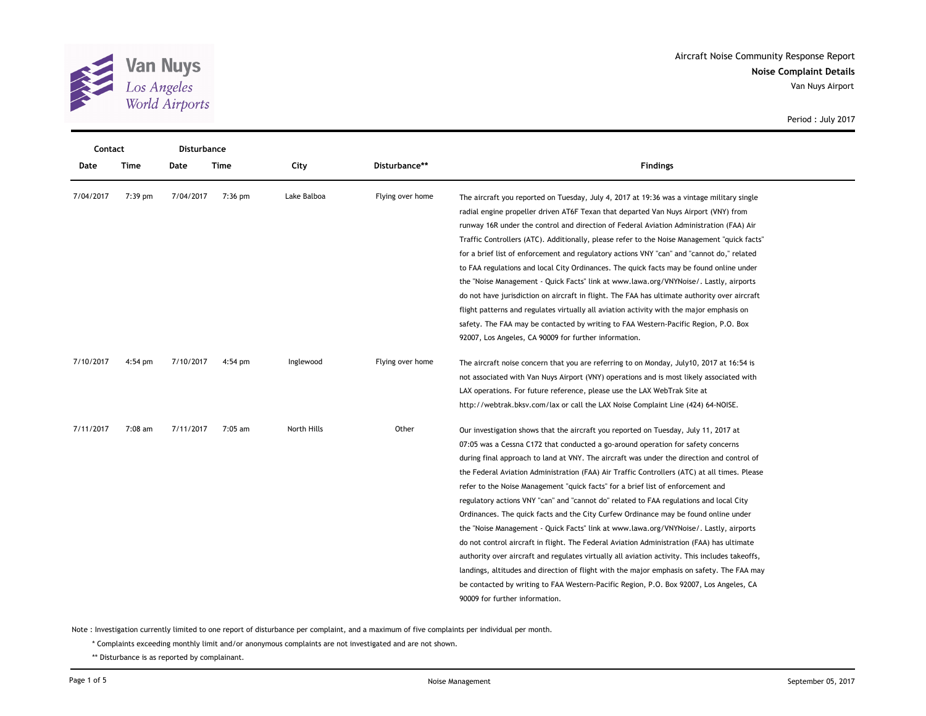

| Contact   |         | <b>Disturbance</b> |           |             |                  |                                                                                                |  |  |  |
|-----------|---------|--------------------|-----------|-------------|------------------|------------------------------------------------------------------------------------------------|--|--|--|
| Date      | Time    | Date               | Time      | City        | Disturbance**    | <b>Findings</b>                                                                                |  |  |  |
| 7/04/2017 | 7:39 pm | 7/04/2017          | $7:36$ pm | Lake Balboa | Flying over home | The aircraft you reported on Tuesday, July 4, 2017 at 19:36 was a vintage military single      |  |  |  |
|           |         |                    |           |             |                  | radial engine propeller driven AT6F Texan that departed Van Nuys Airport (VNY) from            |  |  |  |
|           |         |                    |           |             |                  | runway 16R under the control and direction of Federal Aviation Administration (FAA) Air        |  |  |  |
|           |         |                    |           |             |                  | Traffic Controllers (ATC). Additionally, please refer to the Noise Management "quick facts"    |  |  |  |
|           |         |                    |           |             |                  | for a brief list of enforcement and regulatory actions VNY "can" and "cannot do," related      |  |  |  |
|           |         |                    |           |             |                  | to FAA regulations and local City Ordinances. The quick facts may be found online under        |  |  |  |
|           |         |                    |           |             |                  | the "Noise Management - Quick Facts" link at www.lawa.org/VNYNoise/. Lastly, airports          |  |  |  |
|           |         |                    |           |             |                  | do not have jurisdiction on aircraft in flight. The FAA has ultimate authority over aircraft   |  |  |  |
|           |         |                    |           |             |                  | flight patterns and regulates virtually all aviation activity with the major emphasis on       |  |  |  |
|           |         |                    |           |             |                  | safety. The FAA may be contacted by writing to FAA Western-Pacific Region, P.O. Box            |  |  |  |
|           |         |                    |           |             |                  | 92007, Los Angeles, CA 90009 for further information.                                          |  |  |  |
| 7/10/2017 | 4:54 pm | 7/10/2017          | $4:54$ pm | Inglewood   | Flying over home | The aircraft noise concern that you are referring to on Monday, July10, 2017 at 16:54 is       |  |  |  |
|           |         |                    |           |             |                  | not associated with Van Nuys Airport (VNY) operations and is most likely associated with       |  |  |  |
|           |         |                    |           |             |                  | LAX operations. For future reference, please use the LAX WebTrak Site at                       |  |  |  |
|           |         |                    |           |             |                  | http://webtrak.bksv.com/lax or call the LAX Noise Complaint Line (424) 64-NOISE.               |  |  |  |
| 7/11/2017 | 7:08 am | 7/11/2017          | 7:05 am   | North Hills | Other            | Our investigation shows that the aircraft you reported on Tuesday, July 11, 2017 at            |  |  |  |
|           |         |                    |           |             |                  | 07:05 was a Cessna C172 that conducted a go-around operation for safety concerns               |  |  |  |
|           |         |                    |           |             |                  | during final approach to land at VNY. The aircraft was under the direction and control of      |  |  |  |
|           |         |                    |           |             |                  | the Federal Aviation Administration (FAA) Air Traffic Controllers (ATC) at all times. Please   |  |  |  |
|           |         |                    |           |             |                  | refer to the Noise Management "quick facts" for a brief list of enforcement and                |  |  |  |
|           |         |                    |           |             |                  | regulatory actions VNY "can" and "cannot do" related to FAA regulations and local City         |  |  |  |
|           |         |                    |           |             |                  | Ordinances. The quick facts and the City Curfew Ordinance may be found online under            |  |  |  |
|           |         |                    |           |             |                  | the "Noise Management - Quick Facts" link at www.lawa.org/VNYNoise/. Lastly, airports          |  |  |  |
|           |         |                    |           |             |                  | do not control aircraft in flight. The Federal Aviation Administration (FAA) has ultimate      |  |  |  |
|           |         |                    |           |             |                  | authority over aircraft and regulates virtually all aviation activity. This includes takeoffs, |  |  |  |
|           |         |                    |           |             |                  | landings, altitudes and direction of flight with the major emphasis on safety. The FAA may     |  |  |  |
|           |         |                    |           |             |                  | be contacted by writing to FAA Western-Pacific Region, P.O. Box 92007, Los Angeles, CA         |  |  |  |
|           |         |                    |           |             |                  | 90009 for further information.                                                                 |  |  |  |

Note : Investigation currently limited to one report of disturbance per complaint, and a maximum of five complaints per individual per month.

\* Complaints exceeding monthly limit and/or anonymous complaints are not investigated and are not shown.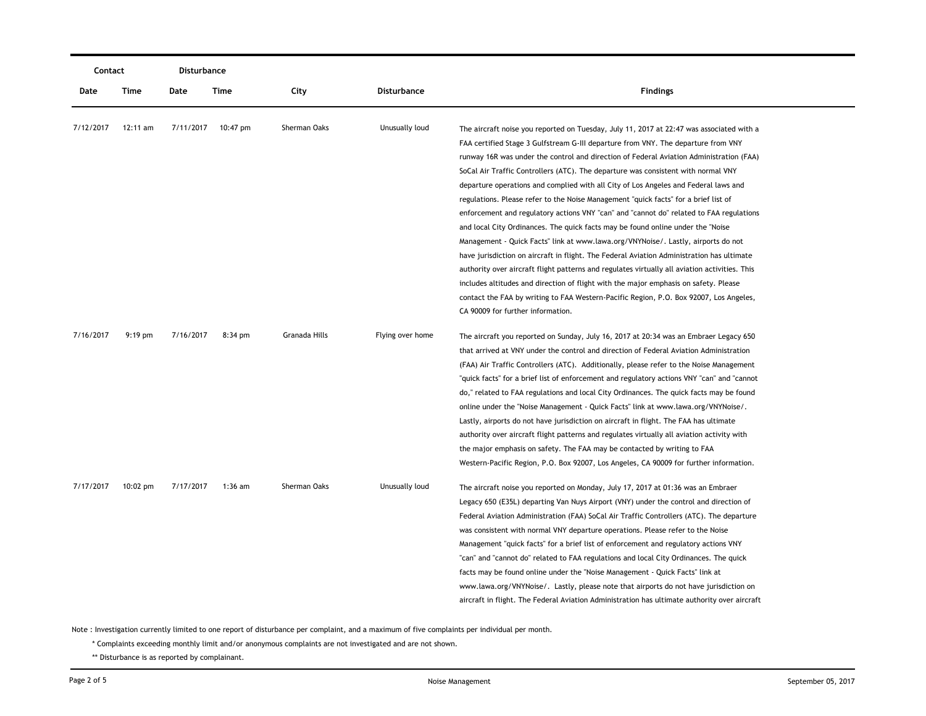|           | Contact<br>Disturbance |           |                    |               |                  |                                                                                                                                                                                                                                                                                                                                                                                                                                                                                                                                                                                                                                                                                                                                                                                                                                                                                                                                                                                                                                                                                                                                                                                                                                     |
|-----------|------------------------|-----------|--------------------|---------------|------------------|-------------------------------------------------------------------------------------------------------------------------------------------------------------------------------------------------------------------------------------------------------------------------------------------------------------------------------------------------------------------------------------------------------------------------------------------------------------------------------------------------------------------------------------------------------------------------------------------------------------------------------------------------------------------------------------------------------------------------------------------------------------------------------------------------------------------------------------------------------------------------------------------------------------------------------------------------------------------------------------------------------------------------------------------------------------------------------------------------------------------------------------------------------------------------------------------------------------------------------------|
| Date      | Time                   | Date      | Time               | City          | Disturbance      | <b>Findings</b>                                                                                                                                                                                                                                                                                                                                                                                                                                                                                                                                                                                                                                                                                                                                                                                                                                                                                                                                                                                                                                                                                                                                                                                                                     |
| 7/12/2017 | 12:11 am               |           | 7/11/2017 10:47 pm | Sherman Oaks  | Unusually loud   | The aircraft noise you reported on Tuesday, July 11, 2017 at 22:47 was associated with a<br>FAA certified Stage 3 Gulfstream G-III departure from VNY. The departure from VNY<br>runway 16R was under the control and direction of Federal Aviation Administration (FAA)<br>SoCal Air Traffic Controllers (ATC). The departure was consistent with normal VNY<br>departure operations and complied with all City of Los Angeles and Federal laws and<br>regulations. Please refer to the Noise Management "quick facts" for a brief list of<br>enforcement and regulatory actions VNY "can" and "cannot do" related to FAA regulations<br>and local City Ordinances. The quick facts may be found online under the "Noise<br>Management - Quick Facts" link at www.lawa.org/VNYNoise/. Lastly, airports do not<br>have jurisdiction on aircraft in flight. The Federal Aviation Administration has ultimate<br>authority over aircraft flight patterns and regulates virtually all aviation activities. This<br>includes altitudes and direction of flight with the major emphasis on safety. Please<br>contact the FAA by writing to FAA Western-Pacific Region, P.O. Box 92007, Los Angeles,<br>CA 90009 for further information. |
| 7/16/2017 | $9:19$ pm              | 7/16/2017 | $8:34$ pm          | Granada Hills | Flying over home | The aircraft you reported on Sunday, July 16, 2017 at 20:34 was an Embraer Legacy 650<br>that arrived at VNY under the control and direction of Federal Aviation Administration<br>(FAA) Air Traffic Controllers (ATC). Additionally, please refer to the Noise Management<br>"quick facts" for a brief list of enforcement and regulatory actions VNY "can" and "cannot<br>do," related to FAA regulations and local City Ordinances. The quick facts may be found<br>online under the "Noise Management - Quick Facts" link at www.lawa.org/VNYNoise/.<br>Lastly, airports do not have jurisdiction on aircraft in flight. The FAA has ultimate<br>authority over aircraft flight patterns and regulates virtually all aviation activity with<br>the major emphasis on safety. The FAA may be contacted by writing to FAA<br>Western-Pacific Region, P.O. Box 92007, Los Angeles, CA 90009 for further information.                                                                                                                                                                                                                                                                                                               |
| 7/17/2017 | $10:02 \text{ pm}$     | 7/17/2017 | $1:36$ am          | Sherman Oaks  | Unusually loud   | The aircraft noise you reported on Monday, July 17, 2017 at 01:36 was an Embraer<br>Legacy 650 (E35L) departing Van Nuys Airport (VNY) under the control and direction of<br>Federal Aviation Administration (FAA) SoCal Air Traffic Controllers (ATC). The departure<br>was consistent with normal VNY departure operations. Please refer to the Noise<br>Management "quick facts" for a brief list of enforcement and regulatory actions VNY<br>"can" and "cannot do" related to FAA regulations and local City Ordinances. The quick<br>facts may be found online under the "Noise Management - Quick Facts" link at<br>www.lawa.org/VNYNoise/. Lastly, please note that airports do not have jurisdiction on<br>aircraft in flight. The Federal Aviation Administration has ultimate authority over aircraft                                                                                                                                                                                                                                                                                                                                                                                                                    |

\* Complaints exceeding monthly limit and/or anonymous complaints are not investigated and are not shown.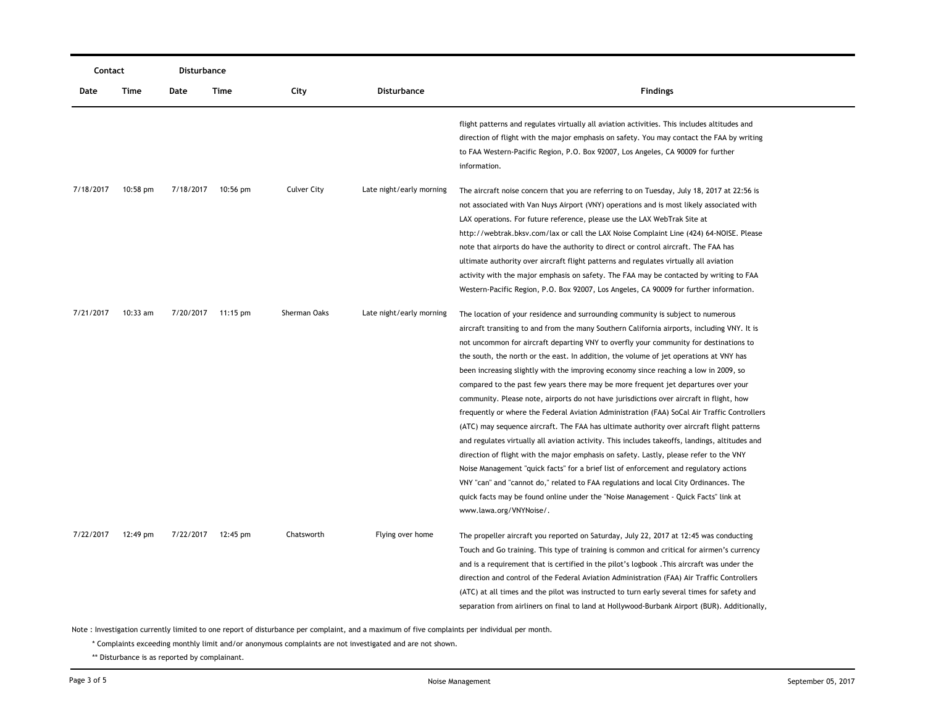| Contact   |                    | Disturbance |                    |                    |                          |                                                                                                |  |  |
|-----------|--------------------|-------------|--------------------|--------------------|--------------------------|------------------------------------------------------------------------------------------------|--|--|
| Date      | Time               | Date        | Time               | City               | Disturbance              | <b>Findings</b>                                                                                |  |  |
|           |                    |             |                    |                    |                          | flight patterns and regulates virtually all aviation activities. This includes altitudes and   |  |  |
|           |                    |             |                    |                    |                          | direction of flight with the major emphasis on safety. You may contact the FAA by writing      |  |  |
|           |                    |             |                    |                    |                          | to FAA Western-Pacific Region, P.O. Box 92007, Los Angeles, CA 90009 for further               |  |  |
|           |                    |             |                    |                    |                          | information.                                                                                   |  |  |
| 7/18/2017 | $10:58 \text{ pm}$ |             | 7/18/2017 10:56 pm | <b>Culver City</b> | Late night/early morning | The aircraft noise concern that you are referring to on Tuesday, July 18, 2017 at 22:56 is     |  |  |
|           |                    |             |                    |                    |                          | not associated with Van Nuys Airport (VNY) operations and is most likely associated with       |  |  |
|           |                    |             |                    |                    |                          | LAX operations. For future reference, please use the LAX WebTrak Site at                       |  |  |
|           |                    |             |                    |                    |                          | http://webtrak.bksv.com/lax or call the LAX Noise Complaint Line (424) 64-NOISE. Please        |  |  |
|           |                    |             |                    |                    |                          | note that airports do have the authority to direct or control aircraft. The FAA has            |  |  |
|           |                    |             |                    |                    |                          | ultimate authority over aircraft flight patterns and regulates virtually all aviation          |  |  |
|           |                    |             |                    |                    |                          | activity with the major emphasis on safety. The FAA may be contacted by writing to FAA         |  |  |
|           |                    |             |                    |                    |                          | Western-Pacific Region, P.O. Box 92007, Los Angeles, CA 90009 for further information.         |  |  |
| 7/21/2017 | $10:33$ am         |             | 7/20/2017 11:15 pm | Sherman Oaks       | Late night/early morning | The location of your residence and surrounding community is subject to numerous                |  |  |
|           |                    |             |                    |                    |                          | aircraft transiting to and from the many Southern California airports, including VNY. It is    |  |  |
|           |                    |             |                    |                    |                          | not uncommon for aircraft departing VNY to overfly your community for destinations to          |  |  |
|           |                    |             |                    |                    |                          | the south, the north or the east. In addition, the volume of jet operations at VNY has         |  |  |
|           |                    |             |                    |                    |                          | been increasing slightly with the improving economy since reaching a low in 2009, so           |  |  |
|           |                    |             |                    |                    |                          | compared to the past few years there may be more frequent jet departures over your             |  |  |
|           |                    |             |                    |                    |                          | community. Please note, airports do not have jurisdictions over aircraft in flight, how        |  |  |
|           |                    |             |                    |                    |                          | frequently or where the Federal Aviation Administration (FAA) SoCal Air Traffic Controllers    |  |  |
|           |                    |             |                    |                    |                          | (ATC) may sequence aircraft. The FAA has ultimate authority over aircraft flight patterns      |  |  |
|           |                    |             |                    |                    |                          | and regulates virtually all aviation activity. This includes takeoffs, landings, altitudes and |  |  |
|           |                    |             |                    |                    |                          | direction of flight with the major emphasis on safety. Lastly, please refer to the VNY         |  |  |
|           |                    |             |                    |                    |                          | Noise Management "quick facts" for a brief list of enforcement and regulatory actions          |  |  |
|           |                    |             |                    |                    |                          | VNY "can" and "cannot do," related to FAA regulations and local City Ordinances. The           |  |  |
|           |                    |             |                    |                    |                          | quick facts may be found online under the "Noise Management - Quick Facts" link at             |  |  |
|           |                    |             |                    |                    |                          | www.lawa.org/VNYNoise/.                                                                        |  |  |
| 7/22/2017 | 12:49 pm           |             | 7/22/2017 12:45 pm | Chatsworth         | Flying over home         | The propeller aircraft you reported on Saturday, July 22, 2017 at 12:45 was conducting         |  |  |
|           |                    |             |                    |                    |                          | Touch and Go training. This type of training is common and critical for airmen's currency      |  |  |
|           |                    |             |                    |                    |                          | and is a requirement that is certified in the pilot's logbook. This aircraft was under the     |  |  |
|           |                    |             |                    |                    |                          | direction and control of the Federal Aviation Administration (FAA) Air Traffic Controllers     |  |  |
|           |                    |             |                    |                    |                          | (ATC) at all times and the pilot was instructed to turn early several times for safety and     |  |  |
|           |                    |             |                    |                    |                          | separation from airliners on final to land at Hollywood-Burbank Airport (BUR). Additionally,   |  |  |

\* Complaints exceeding monthly limit and/or anonymous complaints are not investigated and are not shown.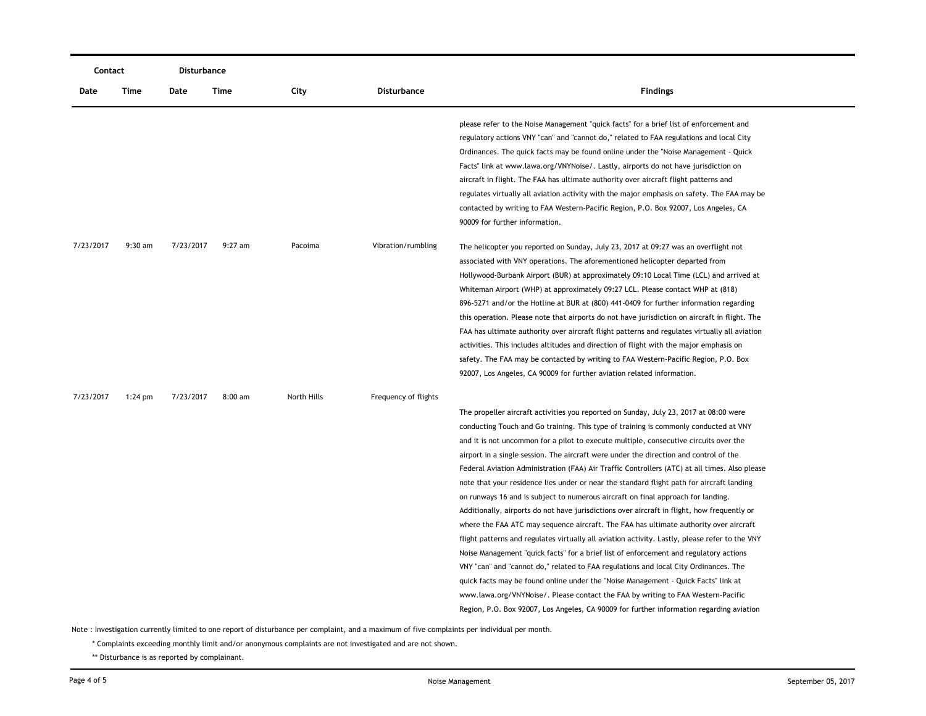|           | Contact   |           | Disturbance |             |                      |                                                                                                |
|-----------|-----------|-----------|-------------|-------------|----------------------|------------------------------------------------------------------------------------------------|
| Date      | Time      | Date      | Time        | City        | <b>Disturbance</b>   | <b>Findings</b>                                                                                |
|           |           |           |             |             |                      | please refer to the Noise Management "quick facts" for a brief list of enforcement and         |
|           |           |           |             |             |                      | regulatory actions VNY "can" and "cannot do," related to FAA regulations and local City        |
|           |           |           |             |             |                      | Ordinances. The quick facts may be found online under the "Noise Management - Quick            |
|           |           |           |             |             |                      | Facts" link at www.lawa.org/VNYNoise/. Lastly, airports do not have jurisdiction on            |
|           |           |           |             |             |                      | aircraft in flight. The FAA has ultimate authority over aircraft flight patterns and           |
|           |           |           |             |             |                      | regulates virtually all aviation activity with the major emphasis on safety. The FAA may be    |
|           |           |           |             |             |                      | contacted by writing to FAA Western-Pacific Region, P.O. Box 92007, Los Angeles, CA            |
|           |           |           |             |             |                      | 90009 for further information.                                                                 |
| 7/23/2017 | $9:30$ am | 7/23/2017 | $9:27$ am   | Pacoima     | Vibration/rumbling   | The helicopter you reported on Sunday, July 23, 2017 at 09:27 was an overflight not            |
|           |           |           |             |             |                      | associated with VNY operations. The aforementioned helicopter departed from                    |
|           |           |           |             |             |                      | Hollywood-Burbank Airport (BUR) at approximately 09:10 Local Time (LCL) and arrived at         |
|           |           |           |             |             |                      | Whiteman Airport (WHP) at approximately 09:27 LCL. Please contact WHP at (818)                 |
|           |           |           |             |             |                      | 896-5271 and/or the Hotline at BUR at (800) 441-0409 for further information regarding         |
|           |           |           |             |             |                      | this operation. Please note that airports do not have jurisdiction on aircraft in flight. The  |
|           |           |           |             |             |                      | FAA has ultimate authority over aircraft flight patterns and regulates virtually all aviation  |
|           |           |           |             |             |                      | activities. This includes altitudes and direction of flight with the major emphasis on         |
|           |           |           |             |             |                      | safety. The FAA may be contacted by writing to FAA Western-Pacific Region, P.O. Box            |
|           |           |           |             |             |                      | 92007, Los Angeles, CA 90009 for further aviation related information.                         |
| 7/23/2017 | $1:24$ pm | 7/23/2017 | $8:00$ am   | North Hills | Frequency of flights |                                                                                                |
|           |           |           |             |             |                      | The propeller aircraft activities you reported on Sunday, July 23, 2017 at 08:00 were          |
|           |           |           |             |             |                      | conducting Touch and Go training. This type of training is commonly conducted at VNY           |
|           |           |           |             |             |                      | and it is not uncommon for a pilot to execute multiple, consecutive circuits over the          |
|           |           |           |             |             |                      | airport in a single session. The aircraft were under the direction and control of the          |
|           |           |           |             |             |                      | Federal Aviation Administration (FAA) Air Traffic Controllers (ATC) at all times. Also please  |
|           |           |           |             |             |                      | note that your residence lies under or near the standard flight path for aircraft landing      |
|           |           |           |             |             |                      | on runways 16 and is subject to numerous aircraft on final approach for landing.               |
|           |           |           |             |             |                      | Additionally, airports do not have jurisdictions over aircraft in flight, how frequently or    |
|           |           |           |             |             |                      | where the FAA ATC may sequence aircraft. The FAA has ultimate authority over aircraft          |
|           |           |           |             |             |                      | flight patterns and regulates virtually all aviation activity. Lastly, please refer to the VNY |
|           |           |           |             |             |                      | Noise Management "quick facts" for a brief list of enforcement and regulatory actions          |
|           |           |           |             |             |                      | VNY "can" and "cannot do," related to FAA regulations and local City Ordinances. The           |
|           |           |           |             |             |                      | quick facts may be found online under the "Noise Management - Quick Facts" link at             |
|           |           |           |             |             |                      | www.lawa.org/VNYNoise/. Please contact the FAA by writing to FAA Western-Pacific               |
|           |           |           |             |             |                      | Region, P.O. Box 92007, Los Angeles, CA 90009 for further information regarding aviation       |

\* Complaints exceeding monthly limit and/or anonymous complaints are not investigated and are not shown.